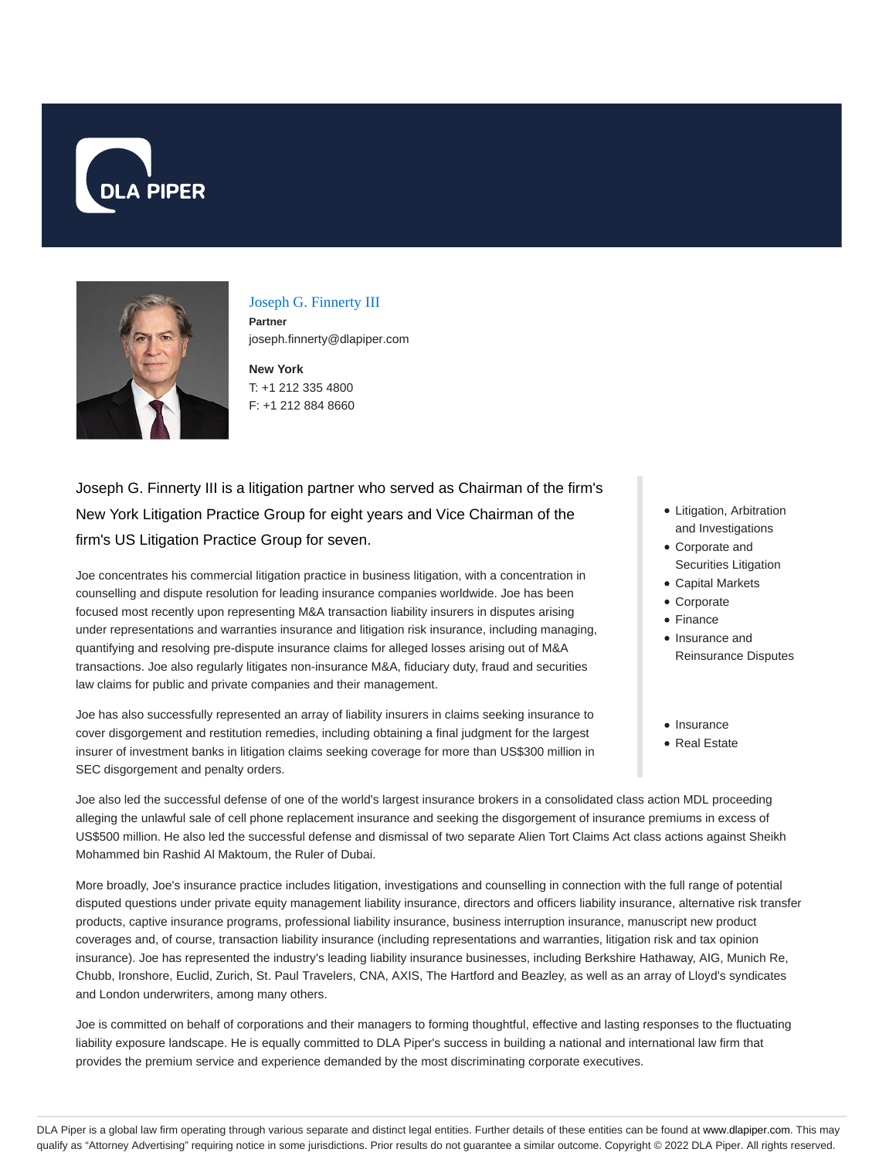



#### Joseph G. Finnerty III

**Partner** joseph.finnerty@dlapiper.com

**New York** T: +1 212 335 4800 F: +1 212 884 8660

Joseph G. Finnerty III is a litigation partner who served as Chairman of the firm's New York Litigation Practice Group for eight years and Vice Chairman of the firm's US Litigation Practice Group for seven.

Joe concentrates his commercial litigation practice in business litigation, with a concentration in counselling and dispute resolution for leading insurance companies worldwide. Joe has been focused most recently upon representing M&A transaction liability insurers in disputes arising under representations and warranties insurance and litigation risk insurance, including managing, quantifying and resolving pre-dispute insurance claims for alleged losses arising out of M&A transactions. Joe also regularly litigates non-insurance M&A, fiduciary duty, fraud and securities law claims for public and private companies and their management.

Joe has also successfully represented an array of liability insurers in claims seeking insurance to cover disgorgement and restitution remedies, including obtaining a final judgment for the largest insurer of investment banks in litigation claims seeking coverage for more than US\$300 million in SEC disgorgement and penalty orders.

- Litigation, Arbitration and Investigations
- Corporate and Securities Litigation
- Capital Markets
- Corporate
- Finance
- Insurance and Reinsurance Disputes
- Insurance
- Real Estate

Joe also led the successful defense of one of the world's largest insurance brokers in a consolidated class action MDL proceeding alleging the unlawful sale of cell phone replacement insurance and seeking the disgorgement of insurance premiums in excess of US\$500 million. He also led the successful defense and dismissal of two separate Alien Tort Claims Act class actions against Sheikh Mohammed bin Rashid Al Maktoum, the Ruler of Dubai.

More broadly, Joe's insurance practice includes litigation, investigations and counselling in connection with the full range of potential disputed questions under private equity management liability insurance, directors and officers liability insurance, alternative risk transfer products, captive insurance programs, professional liability insurance, business interruption insurance, manuscript new product coverages and, of course, transaction liability insurance (including representations and warranties, litigation risk and tax opinion insurance). Joe has represented the industry's leading liability insurance businesses, including Berkshire Hathaway, AIG, Munich Re, Chubb, Ironshore, Euclid, Zurich, St. Paul Travelers, CNA, AXIS, The Hartford and Beazley, as well as an array of Lloyd's syndicates and London underwriters, among many others.

Joe is committed on behalf of corporations and their managers to forming thoughtful, effective and lasting responses to the fluctuating liability exposure landscape. He is equally committed to DLA Piper's success in building a national and international law firm that provides the premium service and experience demanded by the most discriminating corporate executives.

DLA Piper is a global law firm operating through various separate and distinct legal entities. Further details of these entities can be found at www.dlapiper.com. This may qualify as "Attorney Advertising" requiring notice in some jurisdictions. Prior results do not guarantee a similar outcome. Copyright @ 2022 DLA Piper. All rights reserved.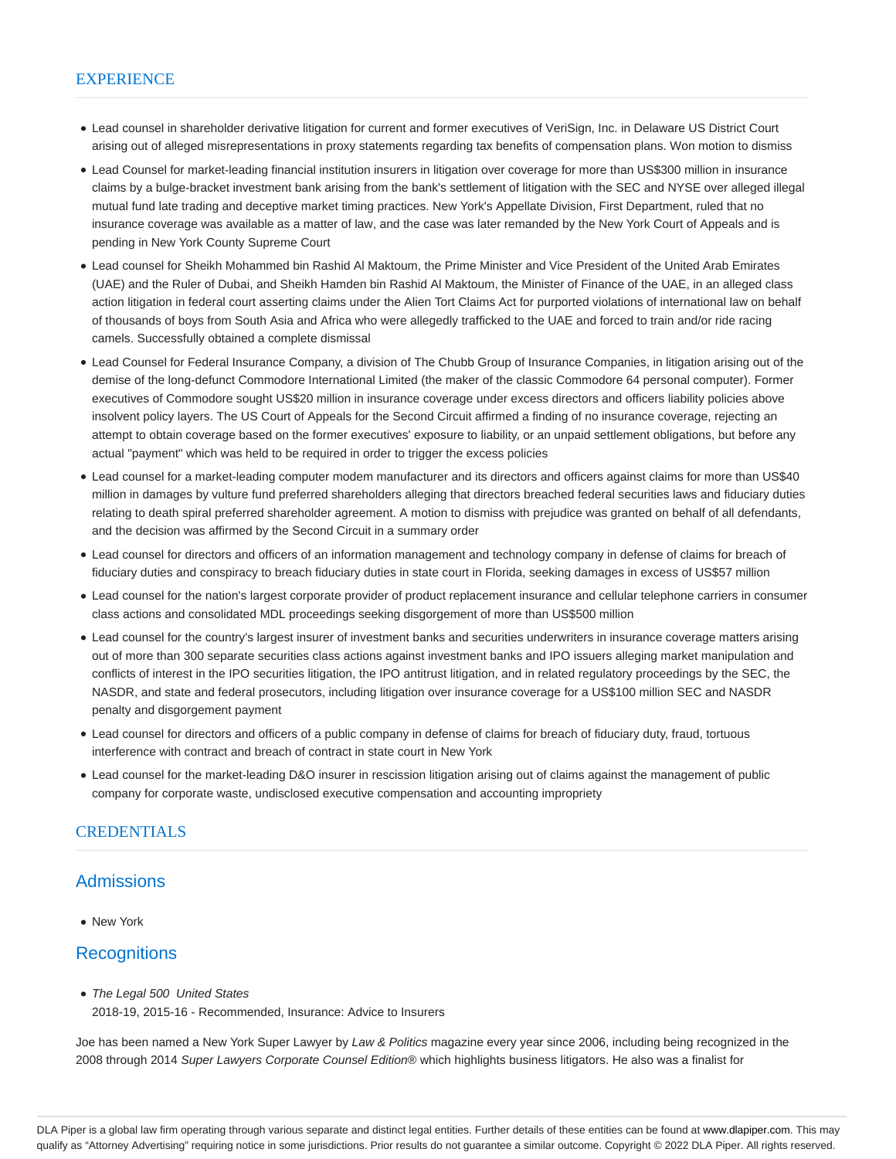#### **EXPERIENCE**

- Lead counsel in shareholder derivative litigation for current and former executives of VeriSign, Inc. in Delaware US District Court arising out of alleged misrepresentations in proxy statements regarding tax benefits of compensation plans. Won motion to dismiss
- Lead Counsel for market-leading financial institution insurers in litigation over coverage for more than US\$300 million in insurance claims by a bulge-bracket investment bank arising from the bank's settlement of litigation with the SEC and NYSE over alleged illegal mutual fund late trading and deceptive market timing practices. New York's Appellate Division, First Department, ruled that no insurance coverage was available as a matter of law, and the case was later remanded by the New York Court of Appeals and is pending in New York County Supreme Court
- Lead counsel for Sheikh Mohammed bin Rashid Al Maktoum, the Prime Minister and Vice President of the United Arab Emirates (UAE) and the Ruler of Dubai, and Sheikh Hamden bin Rashid Al Maktoum, the Minister of Finance of the UAE, in an alleged class action litigation in federal court asserting claims under the Alien Tort Claims Act for purported violations of international law on behalf of thousands of boys from South Asia and Africa who were allegedly trafficked to the UAE and forced to train and/or ride racing camels. Successfully obtained a complete dismissal
- Lead Counsel for Federal Insurance Company, a division of The Chubb Group of Insurance Companies, in litigation arising out of the demise of the long-defunct Commodore International Limited (the maker of the classic Commodore 64 personal computer). Former executives of Commodore sought US\$20 million in insurance coverage under excess directors and officers liability policies above insolvent policy layers. The US Court of Appeals for the Second Circuit affirmed a finding of no insurance coverage, rejecting an attempt to obtain coverage based on the former executives' exposure to liability, or an unpaid settlement obligations, but before any actual "payment" which was held to be required in order to trigger the excess policies
- Lead counsel for a market-leading computer modem manufacturer and its directors and officers against claims for more than US\$40 million in damages by vulture fund preferred shareholders alleging that directors breached federal securities laws and fiduciary duties relating to death spiral preferred shareholder agreement. A motion to dismiss with prejudice was granted on behalf of all defendants, and the decision was affirmed by the Second Circuit in a summary order
- Lead counsel for directors and officers of an information management and technology company in defense of claims for breach of fiduciary duties and conspiracy to breach fiduciary duties in state court in Florida, seeking damages in excess of US\$57 million
- Lead counsel for the nation's largest corporate provider of product replacement insurance and cellular telephone carriers in consumer class actions and consolidated MDL proceedings seeking disgorgement of more than US\$500 million
- Lead counsel for the country's largest insurer of investment banks and securities underwriters in insurance coverage matters arising out of more than 300 separate securities class actions against investment banks and IPO issuers alleging market manipulation and conflicts of interest in the IPO securities litigation, the IPO antitrust litigation, and in related regulatory proceedings by the SEC, the NASDR, and state and federal prosecutors, including litigation over insurance coverage for a US\$100 million SEC and NASDR penalty and disgorgement payment
- Lead counsel for directors and officers of a public company in defense of claims for breach of fiduciary duty, fraud, tortuous interference with contract and breach of contract in state court in New York
- Lead counsel for the market-leading D&O insurer in rescission litigation arising out of claims against the management of public company for corporate waste, undisclosed executive compensation and accounting impropriety

#### CREDENTIALS

## Admissions

New York

## **Recognitions**

• The Legal 500 United States

2018-19, 2015-16 - Recommended, Insurance: Advice to Insurers

Joe has been named a New York Super Lawyer by Law & Politics magazine every year since 2006, including being recognized in the 2008 through 2014 Super Lawyers Corporate Counsel Edition® which highlights business litigators. He also was a finalist for

DLA Piper is a global law firm operating through various separate and distinct legal entities. Further details of these entities can be found at www.dlapiper.com. This may qualify as "Attorney Advertising" requiring notice in some jurisdictions. Prior results do not guarantee a similar outcome. Copyright © 2022 DLA Piper. All rights reserved.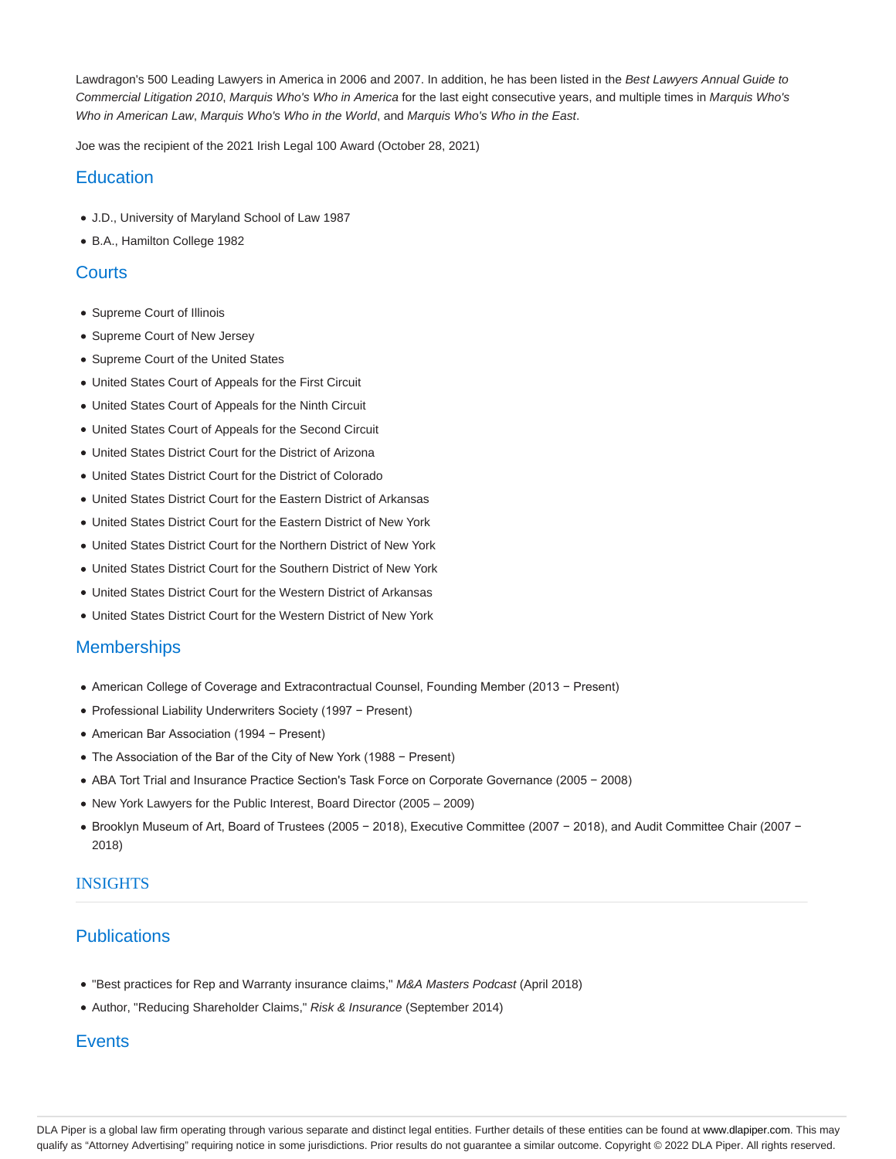Lawdragon's 500 Leading Lawyers in America in 2006 and 2007. In addition, he has been listed in the Best Lawyers Annual Guide to Commercial Litigation 2010, Marquis Who's Who in America for the last eight consecutive years, and multiple times in Marquis Who's Who in American Law, Marquis Who's Who in the World, and Marquis Who's Who in the East.

Joe was the recipient of the 2021 Irish Legal 100 Award (October 28, 2021)

## **Education**

- J.D., University of Maryland School of Law 1987
- B.A., Hamilton College 1982

## **Courts**

- Supreme Court of Illinois
- Supreme Court of New Jersey
- Supreme Court of the United States
- United States Court of Appeals for the First Circuit
- United States Court of Appeals for the Ninth Circuit
- United States Court of Appeals for the Second Circuit
- United States District Court for the District of Arizona
- United States District Court for the District of Colorado
- United States District Court for the Eastern District of Arkansas
- United States District Court for the Eastern District of New York
- United States District Court for the Northern District of New York
- United States District Court for the Southern District of New York
- United States District Court for the Western District of Arkansas
- United States District Court for the Western District of New York

## **Memberships**

- American College of Coverage and Extracontractual Counsel, Founding Member (2013 − Present)
- Professional Liability Underwriters Society (1997 − Present)
- American Bar Association (1994 − Present)
- The Association of the Bar of the City of New York (1988 − Present)
- ABA Tort Trial and Insurance Practice Section's Task Force on Corporate Governance (2005 − 2008)
- New York Lawyers for the Public Interest, Board Director (2005 2009)
- Brooklyn Museum of Art, Board of Trustees (2005 − 2018), Executive Committee (2007 − 2018), and Audit Committee Chair (2007 − 2018)

### INSIGHTS

# **Publications**

- "Best practices for Rep and Warranty insurance claims," M&A Masters Podcast (April 2018)
- Author, "Reducing Shareholder Claims," Risk & Insurance (September 2014)

# **Events**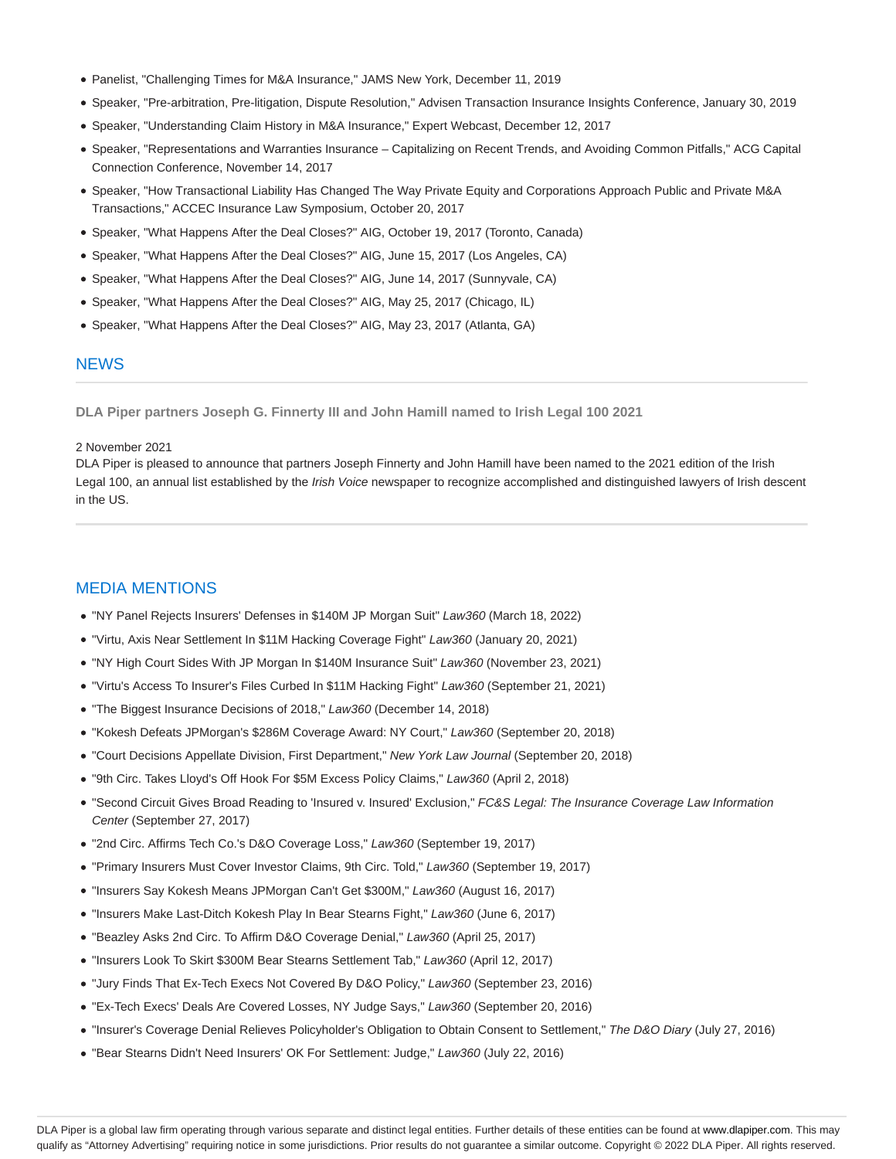- Panelist, "Challenging Times for M&A Insurance," JAMS New York, December 11, 2019
- Speaker, "Pre-arbitration, Pre-litigation, Dispute Resolution," Advisen Transaction Insurance Insights Conference, January 30, 2019
- Speaker, "Understanding Claim History in M&A Insurance," Expert Webcast, December 12, 2017
- Speaker, "Representations and Warranties Insurance Capitalizing on Recent Trends, and Avoiding Common Pitfalls," ACG Capital Connection Conference, November 14, 2017
- Speaker, "How Transactional Liability Has Changed The Way Private Equity and Corporations Approach Public and Private M&A Transactions," ACCEC Insurance Law Symposium, October 20, 2017
- Speaker, "What Happens After the Deal Closes?" AIG, October 19, 2017 (Toronto, Canada)
- Speaker, "What Happens After the Deal Closes?" AIG, June 15, 2017 (Los Angeles, CA)
- Speaker, "What Happens After the Deal Closes?" AIG, June 14, 2017 (Sunnyvale, CA)
- Speaker, "What Happens After the Deal Closes?" AIG, May 25, 2017 (Chicago, IL)
- Speaker, "What Happens After the Deal Closes?" AIG, May 23, 2017 (Atlanta, GA)

### **NEWS**

**DLA Piper partners Joseph G. Finnerty III and John Hamill named to Irish Legal 100 2021**

#### 2 November 2021

DLA Piper is pleased to announce that partners Joseph Finnerty and John Hamill have been named to the 2021 edition of the Irish Legal 100, an annual list established by the Irish Voice newspaper to recognize accomplished and distinguished lawyers of Irish descent in the US.

## MEDIA MENTIONS

- "NY Panel Rejects Insurers' Defenses in \$140M JP Morgan Suit" Law360 (March 18, 2022)
- "Virtu, Axis Near Settlement In \$11M Hacking Coverage Fight" Law360 (January 20, 2021)
- "NY High Court Sides With JP Morgan In \$140M Insurance Suit" Law360 (November 23, 2021)
- "Virtu's Access To Insurer's Files Curbed In \$11M Hacking Fight" Law360 (September 21, 2021)
- "The Biggest Insurance Decisions of 2018," Law360 (December 14, 2018)
- "Kokesh Defeats JPMorgan's \$286M Coverage Award: NY Court," Law360 (September 20, 2018)
- "Court Decisions Appellate Division, First Department," New York Law Journal (September 20, 2018)
- "9th Circ. Takes Lloyd's Off Hook For \$5M Excess Policy Claims," Law360 (April 2, 2018)
- . "Second Circuit Gives Broad Reading to 'Insured v. Insured' Exclusion," FC&S Legal: The Insurance Coverage Law Information Center (September 27, 2017)
- "2nd Circ. Affirms Tech Co.'s D&O Coverage Loss," Law360 (September 19, 2017)
- "Primary Insurers Must Cover Investor Claims, 9th Circ. Told," Law360 (September 19, 2017)
- "Insurers Say Kokesh Means JPMorgan Can't Get \$300M," Law360 (August 16, 2017)
- "Insurers Make Last-Ditch Kokesh Play In Bear Stearns Fight," Law360 (June 6, 2017)
- "Beazley Asks 2nd Circ. To Affirm D&O Coverage Denial," Law360 (April 25, 2017)
- "Insurers Look To Skirt \$300M Bear Stearns Settlement Tab," Law360 (April 12, 2017)
- "Jury Finds That Ex-Tech Execs Not Covered By D&O Policy," Law360 (September 23, 2016)
- "Ex-Tech Execs' Deals Are Covered Losses, NY Judge Says," Law360 (September 20, 2016)
- "Insurer's Coverage Denial Relieves Policyholder's Obligation to Obtain Consent to Settlement," The D&O Diary (July 27, 2016)
- "Bear Stearns Didn't Need Insurers' OK For Settlement: Judge," Law360 (July 22, 2016)